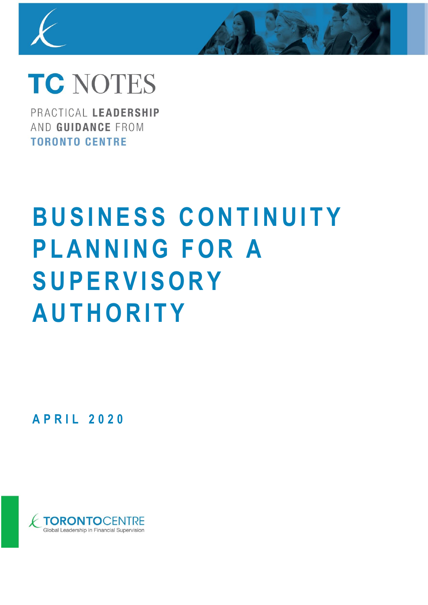

# **TC NOTES**

PRACTICAL LEADERSHIP AND GUIDANCE FROM **TORONTO CENTRE** 

# **BUSINESS CONTINUITY P L A N N I N G F O R A S U P E R V I S O R Y A U T H O R I T Y**

**A P R I L 2 0 2 0**

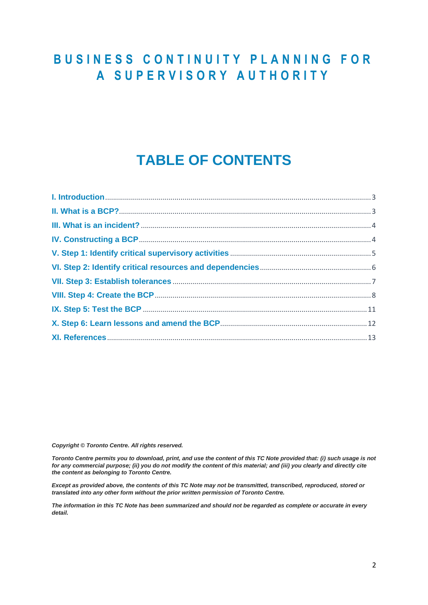# **B U S I N E S S C O N T I N U I T Y P L A N N I N G F O R A S U P E R V I S O R Y A U T H O R I T Y**

# **TABLE OF CONTENTS**

*Copyright © Toronto Centre. All rights reserved.* 

*Toronto Centre permits you to download, print, and use the content of this TC Note provided that: (i) such usage is not for any commercial purpose; (ii) you do not modify the content of this material; and (iii) you clearly and directly cite the content as belonging to Toronto Centre.* 

*Except as provided above, the contents of this TC Note may not be transmitted, transcribed, reproduced, stored or translated into any other form without the prior written permission of Toronto Centre.* 

*The information in this TC Note has been summarized and should not be regarded as complete or accurate in every detail.*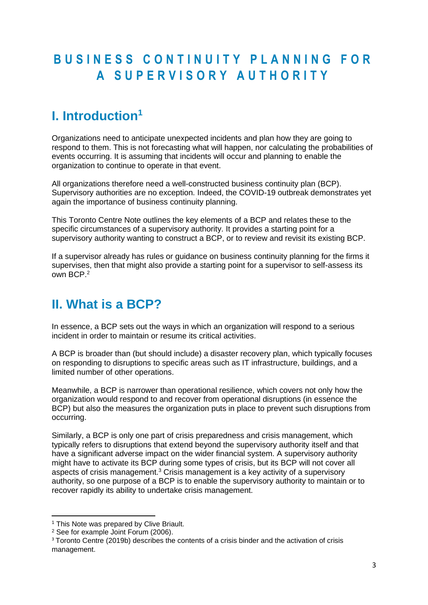# **B U S I N E S S C O N T I N U I T Y P L A N N I N G F O R A S U P E R V I S O R Y A U T H O R I T Y**

# <span id="page-2-0"></span>**I. Introduction<sup>1</sup>**

Organizations need to anticipate unexpected incidents and plan how they are going to respond to them. This is not forecasting what will happen, nor calculating the probabilities of events occurring. It is assuming that incidents will occur and planning to enable the organization to continue to operate in that event.

All organizations therefore need a well-constructed business continuity plan (BCP). Supervisory authorities are no exception. Indeed, the COVID-19 outbreak demonstrates yet again the importance of business continuity planning.

This Toronto Centre Note outlines the key elements of a BCP and relates these to the specific circumstances of a supervisory authority. It provides a starting point for a supervisory authority wanting to construct a BCP, or to review and revisit its existing BCP.

If a supervisor already has rules or guidance on business continuity planning for the firms it supervises, then that might also provide a starting point for a supervisor to self-assess its own BCP.<sup>2</sup>

# <span id="page-2-1"></span>**II. What is a BCP?**

In essence, a BCP sets out the ways in which an organization will respond to a serious incident in order to maintain or resume its critical activities.

A BCP is broader than (but should include) a disaster recovery plan, which typically focuses on responding to disruptions to specific areas such as IT infrastructure, buildings, and a limited number of other operations.

Meanwhile, a BCP is narrower than operational resilience, which covers not only how the organization would respond to and recover from operational disruptions (in essence the BCP) but also the measures the organization puts in place to prevent such disruptions from occurring.

Similarly, a BCP is only one part of crisis preparedness and crisis management, which typically refers to disruptions that extend beyond the supervisory authority itself and that have a significant adverse impact on the wider financial system. A supervisory authority might have to activate its BCP during some types of crisis, but its BCP will not cover all aspects of crisis management.<sup>3</sup> Crisis management is a key activity of a supervisory authority, so one purpose of a BCP is to enable the supervisory authority to maintain or to recover rapidly its ability to undertake crisis management.

<sup>&</sup>lt;sup>1</sup> This Note was prepared by Clive Briault.

<sup>2</sup> See for example Joint Forum (2006).

<sup>&</sup>lt;sup>3</sup> Toronto Centre (2019b) describes the contents of a crisis binder and the activation of crisis management.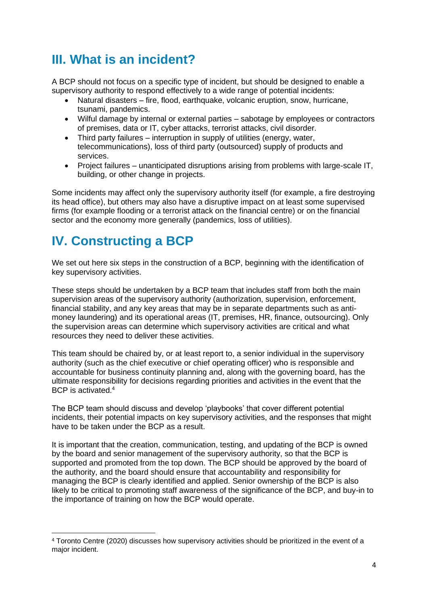# <span id="page-3-0"></span>**III. What is an incident?**

A BCP should not focus on a specific type of incident, but should be designed to enable a supervisory authority to respond effectively to a wide range of potential incidents:

- Natural disasters fire, flood, earthquake, volcanic eruption, snow, hurricane, tsunami, pandemics.
- Wilful damage by internal or external parties sabotage by employees or contractors of premises, data or IT, cyber attacks, terrorist attacks, civil disorder.
- Third party failures interruption in supply of utilities (energy, water, telecommunications), loss of third party (outsourced) supply of products and services.
- Project failures unanticipated disruptions arising from problems with large-scale IT, building, or other change in projects.

Some incidents may affect only the supervisory authority itself (for example, a fire destroying its head office), but others may also have a disruptive impact on at least some supervised firms (for example flooding or a terrorist attack on the financial centre) or on the financial sector and the economy more generally (pandemics, loss of utilities).

# <span id="page-3-1"></span>**IV. Constructing a BCP**

We set out here six steps in the construction of a BCP, beginning with the identification of key supervisory activities.

These steps should be undertaken by a BCP team that includes staff from both the main supervision areas of the supervisory authority (authorization, supervision, enforcement, financial stability, and any key areas that may be in separate departments such as antimoney laundering) and its operational areas (IT, premises, HR, finance, outsourcing). Only the supervision areas can determine which supervisory activities are critical and what resources they need to deliver these activities.

This team should be chaired by, or at least report to, a senior individual in the supervisory authority (such as the chief executive or chief operating officer) who is responsible and accountable for business continuity planning and, along with the governing board, has the ultimate responsibility for decisions regarding priorities and activities in the event that the BCP is activated.<sup>4</sup>

The BCP team should discuss and develop 'playbooks' that cover different potential incidents, their potential impacts on key supervisory activities, and the responses that might have to be taken under the BCP as a result.

It is important that the creation, communication, testing, and updating of the BCP is owned by the board and senior management of the supervisory authority, so that the BCP is supported and promoted from the top down. The BCP should be approved by the board of the authority, and the board should ensure that accountability and responsibility for managing the BCP is clearly identified and applied. Senior ownership of the BCP is also likely to be critical to promoting staff awareness of the significance of the BCP, and buy-in to the importance of training on how the BCP would operate.

<sup>4</sup> Toronto Centre (2020) discusses how supervisory activities should be prioritized in the event of a major incident.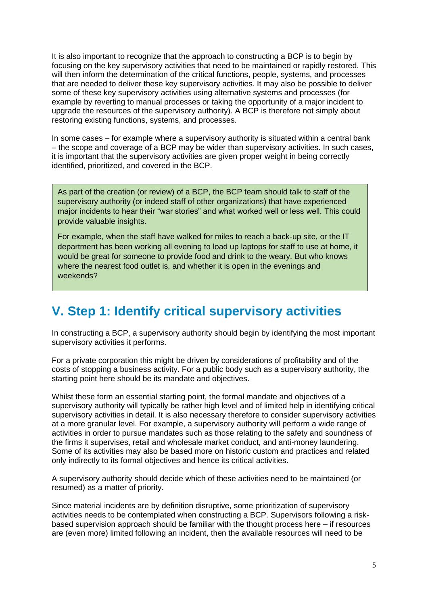It is also important to recognize that the approach to constructing a BCP is to begin by focusing on the key supervisory activities that need to be maintained or rapidly restored. This will then inform the determination of the critical functions, people, systems, and processes that are needed to deliver these key supervisory activities. It may also be possible to deliver some of these key supervisory activities using alternative systems and processes (for example by reverting to manual processes or taking the opportunity of a major incident to upgrade the resources of the supervisory authority). A BCP is therefore not simply about restoring existing functions, systems, and processes.

In some cases – for example where a supervisory authority is situated within a central bank – the scope and coverage of a BCP may be wider than supervisory activities. In such cases, it is important that the supervisory activities are given proper weight in being correctly identified, prioritized, and covered in the BCP.

As part of the creation (or review) of a BCP, the BCP team should talk to staff of the supervisory authority (or indeed staff of other organizations) that have experienced major incidents to hear their "war stories" and what worked well or less well. This could provide valuable insights.

For example, when the staff have walked for miles to reach a back-up site, or the IT department has been working all evening to load up laptops for staff to use at home, it would be great for someone to provide food and drink to the weary. But who knows where the nearest food outlet is, and whether it is open in the evenings and weekends?

## <span id="page-4-0"></span>**V. Step 1: Identify critical supervisory activities**

In constructing a BCP, a supervisory authority should begin by identifying the most important supervisory activities it performs.

For a private corporation this might be driven by considerations of profitability and of the costs of stopping a business activity. For a public body such as a supervisory authority, the starting point here should be its mandate and objectives.

Whilst these form an essential starting point, the formal mandate and objectives of a supervisory authority will typically be rather high level and of limited help in identifying critical supervisory activities in detail. It is also necessary therefore to consider supervisory activities at a more granular level. For example, a supervisory authority will perform a wide range of activities in order to pursue mandates such as those relating to the safety and soundness of the firms it supervises, retail and wholesale market conduct, and anti-money laundering. Some of its activities may also be based more on historic custom and practices and related only indirectly to its formal objectives and hence its critical activities.

A supervisory authority should decide which of these activities need to be maintained (or resumed) as a matter of priority.

Since material incidents are by definition disruptive, some prioritization of supervisory activities needs to be contemplated when constructing a BCP. Supervisors following a riskbased supervision approach should be familiar with the thought process here – if resources are (even more) limited following an incident, then the available resources will need to be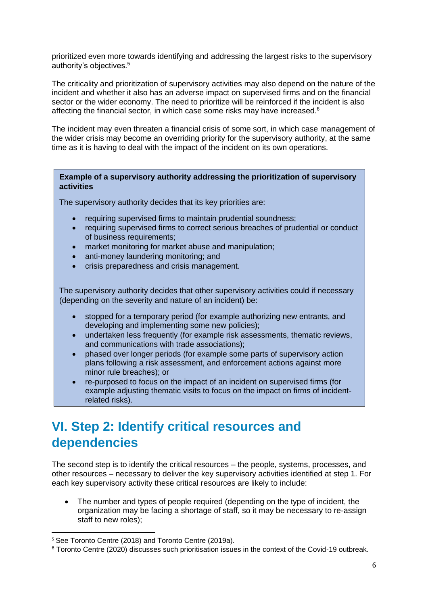prioritized even more towards identifying and addressing the largest risks to the supervisory authority's objectives.<sup>5</sup>

The criticality and prioritization of supervisory activities may also depend on the nature of the incident and whether it also has an adverse impact on supervised firms and on the financial sector or the wider economy. The need to prioritize will be reinforced if the incident is also affecting the financial sector, in which case some risks may have increased. $6$ 

The incident may even threaten a financial crisis of some sort, in which case management of the wider crisis may become an overriding priority for the supervisory authority, at the same time as it is having to deal with the impact of the incident on its own operations.

#### **Example of a supervisory authority addressing the prioritization of supervisory activities**

The supervisory authority decides that its key priorities are:

- requiring supervised firms to maintain prudential soundness;
- requiring supervised firms to correct serious breaches of prudential or conduct of business requirements;
- market monitoring for market abuse and manipulation;
- anti-money laundering monitoring; and
- crisis preparedness and crisis management.

The supervisory authority decides that other supervisory activities could if necessary (depending on the severity and nature of an incident) be:

- stopped for a temporary period (for example authorizing new entrants, and developing and implementing some new policies);
- undertaken less frequently (for example risk assessments, thematic reviews, and communications with trade associations);
- phased over longer periods (for example some parts of supervisory action plans following a risk assessment, and enforcement actions against more minor rule breaches); or
- re-purposed to focus on the impact of an incident on supervised firms (for example adjusting thematic visits to focus on the impact on firms of incidentrelated risks).

# <span id="page-5-0"></span>**VI. Step 2: Identify critical resources and dependencies**

The second step is to identify the critical resources – the people, systems, processes, and other resources – necessary to deliver the key supervisory activities identified at step 1. For each key supervisory activity these critical resources are likely to include:

The number and types of people required (depending on the type of incident, the organization may be facing a shortage of staff, so it may be necessary to re-assign staff to new roles);

<sup>5</sup> See Toronto Centre (2018) and Toronto Centre (2019a).

<sup>6</sup> Toronto Centre (2020) discusses such prioritisation issues in the context of the Covid-19 outbreak.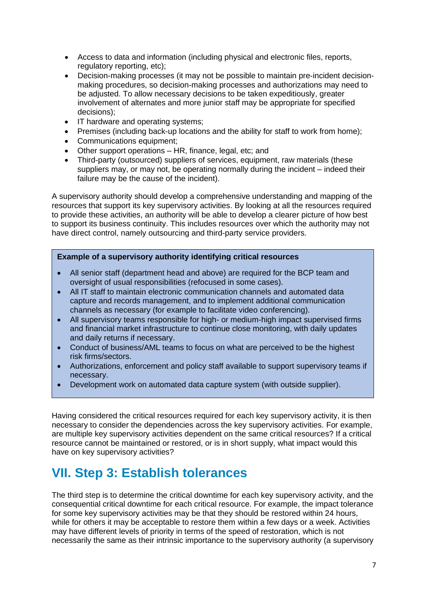- Access to data and information (including physical and electronic files, reports, regulatory reporting, etc);
- Decision-making processes (it may not be possible to maintain pre-incident decisionmaking procedures, so decision-making processes and authorizations may need to be adjusted. To allow necessary decisions to be taken expeditiously, greater involvement of alternates and more junior staff may be appropriate for specified decisions);
- IT hardware and operating systems;
- Premises (including back-up locations and the ability for staff to work from home);
- Communications equipment;
- Other support operations HR, finance, legal, etc; and
- Third-party (outsourced) suppliers of services, equipment, raw materials (these suppliers may, or may not, be operating normally during the incident – indeed their failure may be the cause of the incident).

A supervisory authority should develop a comprehensive understanding and mapping of the resources that support its key supervisory activities. By looking at all the resources required to provide these activities, an authority will be able to develop a clearer picture of how best to support its business continuity. This includes resources over which the authority may not have direct control, namely outsourcing and third-party service providers.

#### **Example of a supervisory authority identifying critical resources**

- All senior staff (department head and above) are required for the BCP team and oversight of usual responsibilities (refocused in some cases).
- All IT staff to maintain electronic communication channels and automated data capture and records management, and to implement additional communication channels as necessary (for example to facilitate video conferencing).
- All supervisory teams responsible for high- or medium-high impact supervised firms and financial market infrastructure to continue close monitoring, with daily updates and daily returns if necessary.
- Conduct of business/AML teams to focus on what are perceived to be the highest risk firms/sectors.
- Authorizations, enforcement and policy staff available to support supervisory teams if necessary.
- Development work on automated data capture system (with outside supplier).

Having considered the critical resources required for each key supervisory activity, it is then necessary to consider the dependencies across the key supervisory activities. For example, are multiple key supervisory activities dependent on the same critical resources? If a critical resource cannot be maintained or restored, or is in short supply, what impact would this have on key supervisory activities?

# <span id="page-6-0"></span>**VII. Step 3: Establish tolerances**

The third step is to determine the critical downtime for each key supervisory activity, and the consequential critical downtime for each critical resource. For example, the impact tolerance for some key supervisory activities may be that they should be restored within 24 hours, while for others it may be acceptable to restore them within a few days or a week. Activities may have different levels of priority in terms of the speed of restoration, which is not necessarily the same as their intrinsic importance to the supervisory authority (a supervisory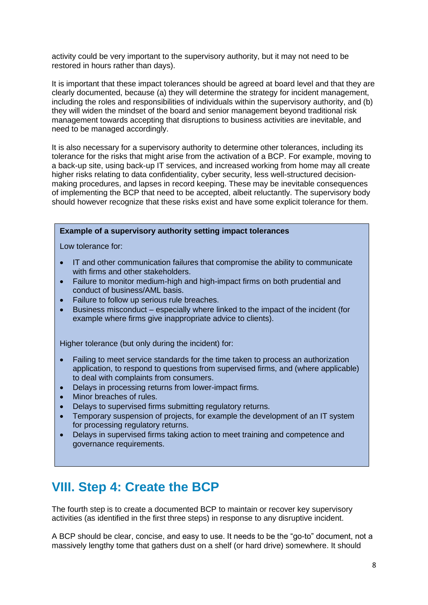activity could be very important to the supervisory authority, but it may not need to be restored in hours rather than days).

It is important that these impact tolerances should be agreed at board level and that they are clearly documented, because (a) they will determine the strategy for incident management, including the roles and responsibilities of individuals within the supervisory authority, and (b) they will widen the mindset of the board and senior management beyond traditional risk management towards accepting that disruptions to business activities are inevitable, and need to be managed accordingly.

It is also necessary for a supervisory authority to determine other tolerances, including its tolerance for the risks that might arise from the activation of a BCP. For example, moving to a back-up site, using back-up IT services, and increased working from home may all create higher risks relating to data confidentiality, cyber security, less well-structured decisionmaking procedures, and lapses in record keeping. These may be inevitable consequences of implementing the BCP that need to be accepted, albeit reluctantly. The supervisory body should however recognize that these risks exist and have some explicit tolerance for them.

#### **Example of a supervisory authority setting impact tolerances**

Low tolerance for:

- IT and other communication failures that compromise the ability to communicate with firms and other stakeholders.
- Failure to monitor medium-high and high-impact firms on both prudential and conduct of business/AML basis.
- Failure to follow up serious rule breaches.
- Business misconduct especially where linked to the impact of the incident (for example where firms give inappropriate advice to clients).

Higher tolerance (but only during the incident) for:

- Failing to meet service standards for the time taken to process an authorization application, to respond to questions from supervised firms, and (where applicable) to deal with complaints from consumers.
- Delays in processing returns from lower-impact firms.
- Minor breaches of rules.
- Delays to supervised firms submitting regulatory returns.
- Temporary suspension of projects, for example the development of an IT system for processing regulatory returns.
- Delays in supervised firms taking action to meet training and competence and governance requirements.

### <span id="page-7-0"></span>**VIII. Step 4: Create the BCP**

The fourth step is to create a documented BCP to maintain or recover key supervisory activities (as identified in the first three steps) in response to any disruptive incident.

A BCP should be clear, concise, and easy to use. It needs to be the "go-to" document, not a massively lengthy tome that gathers dust on a shelf (or hard drive) somewhere. It should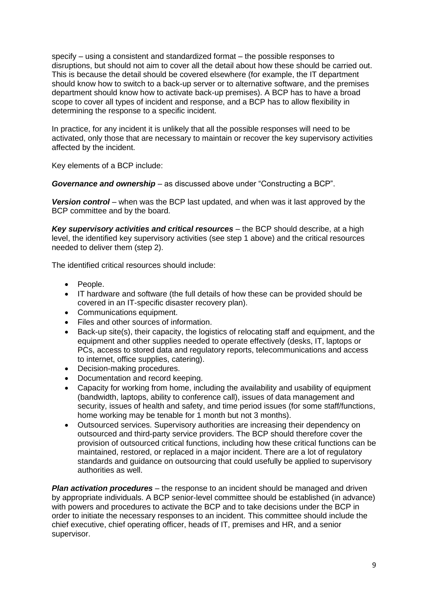specify – using a consistent and standardized format – the possible responses to disruptions, but should not aim to cover all the detail about how these should be carried out. This is because the detail should be covered elsewhere (for example, the IT department should know how to switch to a back-up server or to alternative software, and the premises department should know how to activate back-up premises). A BCP has to have a broad scope to cover all types of incident and response, and a BCP has to allow flexibility in determining the response to a specific incident.

In practice, for any incident it is unlikely that all the possible responses will need to be activated, only those that are necessary to maintain or recover the key supervisory activities affected by the incident.

Key elements of a BCP include:

*Governance and ownership* – as discussed above under "Constructing a BCP".

**Version control** – when was the BCP last updated, and when was it last approved by the BCP committee and by the board.

*Key supervisory activities and critical resources* – the BCP should describe, at a high level, the identified key supervisory activities (see step 1 above) and the critical resources needed to deliver them (step 2).

The identified critical resources should include:

- People.
- IT hardware and software (the full details of how these can be provided should be covered in an IT-specific disaster recovery plan).
- Communications equipment.
- Files and other sources of information.
- Back-up site(s), their capacity, the logistics of relocating staff and equipment, and the equipment and other supplies needed to operate effectively (desks, IT, laptops or PCs, access to stored data and regulatory reports, telecommunications and access to internet, office supplies, catering).
- Decision-making procedures.
- Documentation and record keeping.
- Capacity for working from home, including the availability and usability of equipment (bandwidth, laptops, ability to conference call), issues of data management and security, issues of health and safety, and time period issues (for some staff/functions, home working may be tenable for 1 month but not 3 months).
- Outsourced services. Supervisory authorities are increasing their dependency on outsourced and third-party service providers. The BCP should therefore cover the provision of outsourced critical functions, including how these critical functions can be maintained, restored, or replaced in a major incident. There are a lot of regulatory standards and guidance on outsourcing that could usefully be applied to supervisory authorities as well.

*Plan activation procedures* – the response to an incident should be managed and driven by appropriate individuals. A BCP senior-level committee should be established (in advance) with powers and procedures to activate the BCP and to take decisions under the BCP in order to initiate the necessary responses to an incident. This committee should include the chief executive, chief operating officer, heads of IT, premises and HR, and a senior supervisor.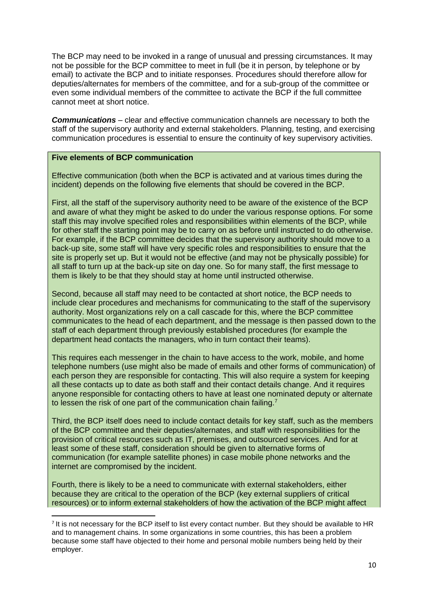The BCP may need to be invoked in a range of unusual and pressing circumstances. It may not be possible for the BCP committee to meet in full (be it in person, by telephone or by email) to activate the BCP and to initiate responses. Procedures should therefore allow for deputies/alternates for members of the committee, and for a sub-group of the committee or even some individual members of the committee to activate the BCP if the full committee cannot meet at short notice.

*Communications* – clear and effective communication channels are necessary to both the staff of the supervisory authority and external stakeholders. Planning, testing, and exercising communication procedures is essential to ensure the continuity of key supervisory activities.

#### **Five elements of BCP communication**

Effective communication (both when the BCP is activated and at various times during the incident) depends on the following five elements that should be covered in the BCP.

First, all the staff of the supervisory authority need to be aware of the existence of the BCP and aware of what they might be asked to do under the various response options. For some staff this may involve specified roles and responsibilities within elements of the BCP, while for other staff the starting point may be to carry on as before until instructed to do otherwise. For example, if the BCP committee decides that the supervisory authority should move to a back-up site, some staff will have very specific roles and responsibilities to ensure that the site is properly set up. But it would not be effective (and may not be physically possible) for all staff to turn up at the back-up site on day one. So for many staff, the first message to them is likely to be that they should stay at home until instructed otherwise.

Second, because all staff may need to be contacted at short notice, the BCP needs to include clear procedures and mechanisms for communicating to the staff of the supervisory authority. Most organizations rely on a call cascade for this, where the BCP committee communicates to the head of each department, and the message is then passed down to the staff of each department through previously established procedures (for example the department head contacts the managers, who in turn contact their teams).

This requires each messenger in the chain to have access to the work, mobile, and home telephone numbers (use might also be made of emails and other forms of communication) of each person they are responsible for contacting. This will also require a system for keeping all these contacts up to date as both staff and their contact details change. And it requires anyone responsible for contacting others to have at least one nominated deputy or alternate to lessen the risk of one part of the communication chain failing.<sup>7</sup>

Third, the BCP itself does need to include contact details for key staff, such as the members of the BCP committee and their deputies/alternates, and staff with responsibilities for the provision of critical resources such as IT, premises, and outsourced services. And for at least some of these staff, consideration should be given to alternative forms of communication (for example satellite phones) in case mobile phone networks and the internet are compromised by the incident.

Fourth, there is likely to be a need to communicate with external stakeholders, either because they are critical to the operation of the BCP (key external suppliers of critical resources) or to inform external stakeholders of how the activation of the BCP might affect

<sup>&</sup>lt;sup>7</sup> It is not necessary for the BCP itself to list every contact number. But they should be available to HR and to management chains. In some organizations in some countries, this has been a problem because some staff have objected to their home and personal mobile numbers being held by their employer.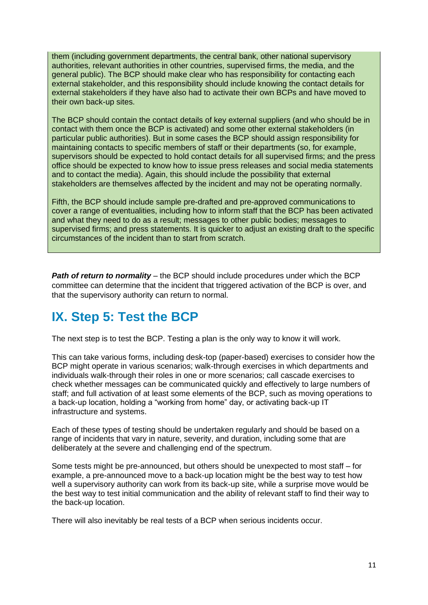them (including government departments, the central bank, other national supervisory authorities, relevant authorities in other countries, supervised firms, the media, and the general public). The BCP should make clear who has responsibility for contacting each external stakeholder, and this responsibility should include knowing the contact details for external stakeholders if they have also had to activate their own BCPs and have moved to their own back-up sites.

The BCP should contain the contact details of key external suppliers (and who should be in contact with them once the BCP is activated) and some other external stakeholders (in particular public authorities). But in some cases the BCP should assign responsibility for maintaining contacts to specific members of staff or their departments (so, for example, supervisors should be expected to hold contact details for all supervised firms; and the press office should be expected to know how to issue press releases and social media statements and to contact the media). Again, this should include the possibility that external stakeholders are themselves affected by the incident and may not be operating normally.

Fifth, the BCP should include sample pre-drafted and pre-approved communications to cover a range of eventualities, including how to inform staff that the BCP has been activated and what they need to do as a result; messages to other public bodies; messages to supervised firms; and press statements. It is quicker to adjust an existing draft to the specific circumstances of the incident than to start from scratch.

**Path of return to normality** – the BCP should include procedures under which the BCP committee can determine that the incident that triggered activation of the BCP is over, and that the supervisory authority can return to normal.

# <span id="page-10-0"></span>**IX. Step 5: Test the BCP**

The next step is to test the BCP. Testing a plan is the only way to know it will work.

This can take various forms, including desk-top (paper-based) exercises to consider how the BCP might operate in various scenarios; walk-through exercises in which departments and individuals walk-through their roles in one or more scenarios; call cascade exercises to check whether messages can be communicated quickly and effectively to large numbers of staff; and full activation of at least some elements of the BCP, such as moving operations to a back-up location, holding a "working from home" day, or activating back-up IT infrastructure and systems.

Each of these types of testing should be undertaken regularly and should be based on a range of incidents that vary in nature, severity, and duration, including some that are deliberately at the severe and challenging end of the spectrum.

Some tests might be pre-announced, but others should be unexpected to most staff – for example, a pre-announced move to a back-up location might be the best way to test how well a supervisory authority can work from its back-up site, while a surprise move would be the best way to test initial communication and the ability of relevant staff to find their way to the back-up location.

There will also inevitably be real tests of a BCP when serious incidents occur.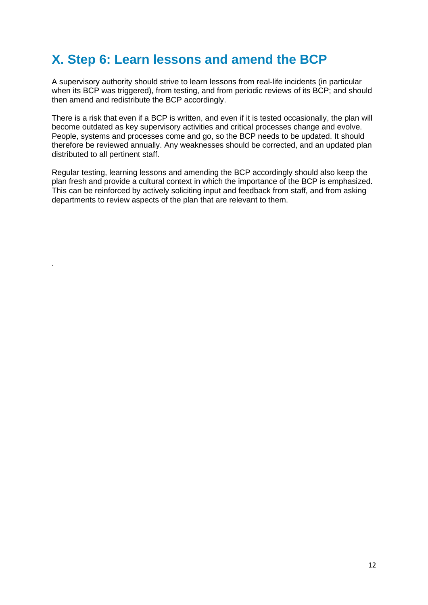# <span id="page-11-0"></span>**X. Step 6: Learn lessons and amend the BCP**

A supervisory authority should strive to learn lessons from real-life incidents (in particular when its BCP was triggered), from testing, and from periodic reviews of its BCP; and should then amend and redistribute the BCP accordingly.

There is a risk that even if a BCP is written, and even if it is tested occasionally, the plan will become outdated as key supervisory activities and critical processes change and evolve. People, systems and processes come and go, so the BCP needs to be updated. It should therefore be reviewed annually. Any weaknesses should be corrected, and an updated plan distributed to all pertinent staff.

Regular testing, learning lessons and amending the BCP accordingly should also keep the plan fresh and provide a cultural context in which the importance of the BCP is emphasized. This can be reinforced by actively soliciting input and feedback from staff, and from asking departments to review aspects of the plan that are relevant to them.

.